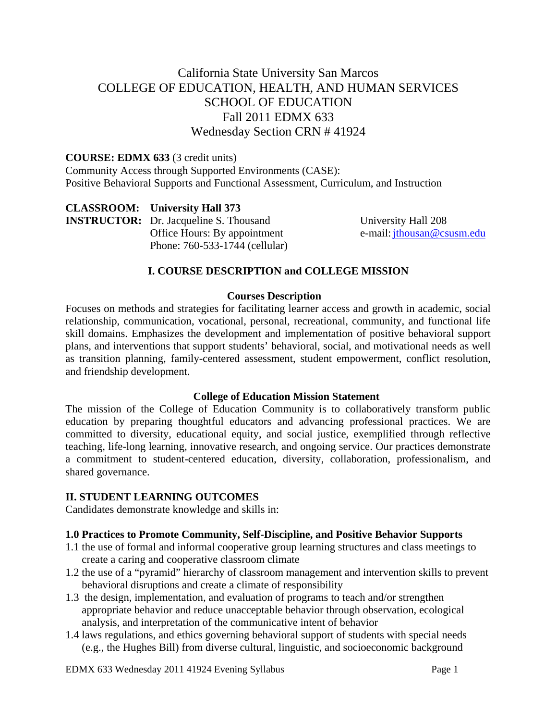# California State University San Marcos COLLEGE OF EDUCATION, HEALTH, AND HUMAN SERVICES SCHOOL OF EDUCATION Fall 2011 EDMX 633 Wednesday Section CRN # 41924

#### **COURSE: EDMX 633** (3 credit units)

Community Access through Supported Environments (CASE): Positive Behavioral Supports and Functional Assessment, Curriculum, and Instruction

 **CLASSROOM: University Hall 373 INSTRUCTOR:**  Dr. Jacqueline S. Thousand Office Hours: By appointment Phone: 760-533-1744 (cellular)

University Hall 208 e-mail: jthousan@csusm.edu

#### **I. COURSE DESCRIPTION and COLLEGE MISSION**

#### **Courses Description**

Focuses on methods and strategies for facilitating learner access and growth in academic, social relationship, communication, vocational, personal, recreational, community, and functional life skill domains. Emphasizes the development and implementation of positive behavioral support plans, and interventions that support students' behavioral, social, and motivational needs as well as transition planning, family-centered assessment, student empowerment, conflict resolution, and friendship development.

#### **College of Education Mission Statement**

The mission of the College of Education Community is to collaboratively transform public education by preparing thoughtful educators and advancing professional practices. We are committed to diversity, educational equity, and social justice, exemplified through reflective teaching, life-long learning, innovative research, and ongoing service. Our practices demonstrate a commitment to student-centered education, diversity, collaboration, professionalism, and shared governance.

#### **II. STUDENT LEARNING OUTCOMES**

Candidates demonstrate knowledge and skills in:

#### **1.0 Practices to Promote Community, Self-Discipline, and Positive Behavior Supports**

- 1.1 the use of formal and informal cooperative group learning structures and class meetings to create a caring and cooperative classroom climate
- 1.2 the use of a "pyramid" hierarchy of classroom management and intervention skills to prevent behavioral disruptions and create a climate of responsibility
- 1.3 the design, implementation, and evaluation of programs to teach and/or strengthen appropriate behavior and reduce unacceptable behavior through observation, ecological analysis, and interpretation of the communicative intent of behavior
- 1.4 laws regulations, and ethics governing behavioral support of students with special needs (e.g., the Hughes Bill) from diverse cultural, linguistic, and socioeconomic background

EDMX 633 Wednesday 2011 41924 Evening Syllabus Page 1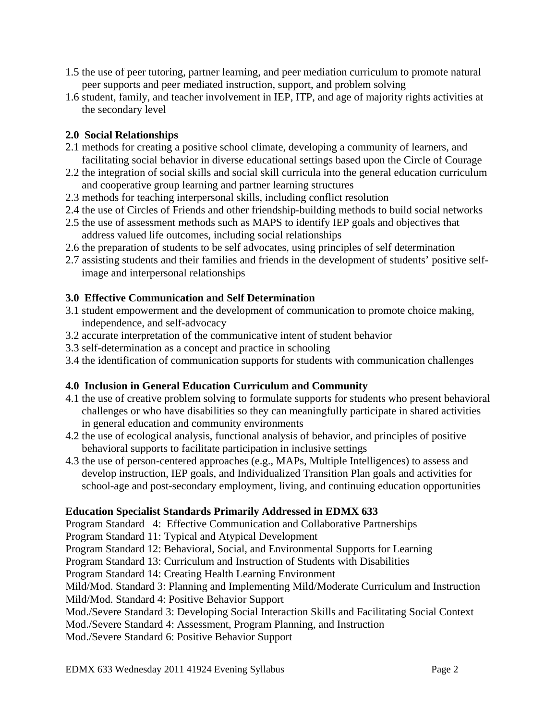- 1.5 the use of peer tutoring, partner learning, and peer mediation curriculum to promote natural peer supports and peer mediated instruction, support, and problem solving
- 1.6 student, family, and teacher involvement in IEP, ITP, and age of majority rights activities at the secondary level

## **2.0 Social Relationships**

- 2.1 methods for creating a positive school climate, developing a community of learners, and facilitating social behavior in diverse educational settings based upon the Circle of Courage
- 2.2 the integration of social skills and social skill curricula into the general education curriculum and cooperative group learning and partner learning structures
- 2.3 methods for teaching interpersonal skills, including conflict resolution
- 2.4 the use of Circles of Friends and other friendship-building methods to build social networks
- 2.5 the use of assessment methods such as MAPS to identify IEP goals and objectives that address valued life outcomes, including social relationships
- 2.6 the preparation of students to be self advocates, using principles of self determination
- 2.7 assisting students and their families and friends in the development of students' positive selfimage and interpersonal relationships

## **3.0 Effective Communication and Self Determination**

- 3.1 student empowerment and the development of communication to promote choice making, independence, and self-advocacy
- 3.2 accurate interpretation of the communicative intent of student behavior
- 3.3 self-determination as a concept and practice in schooling
- 3.4 the identification of communication supports for students with communication challenges

# **4.0 Inclusion in General Education Curriculum and Community**

- 4.1 the use of creative problem solving to formulate supports for students who present behavioral challenges or who have disabilities so they can meaningfully participate in shared activities in general education and community environments
- 4.2 the use of ecological analysis, functional analysis of behavior, and principles of positive behavioral supports to facilitate participation in inclusive settings
- 4.3 the use of person-centered approaches (e.g., MAPs, Multiple Intelligences) to assess and develop instruction, IEP goals, and Individualized Transition Plan goals and activities for school-age and post-secondary employment, living, and continuing education opportunities

# **Education Specialist Standards Primarily Addressed in EDMX 633**

Program Standard 4: Effective Communication and Collaborative Partnerships

Program Standard 11: Typical and Atypical Development

Program Standard 12: Behavioral, Social, and Environmental Supports for Learning

Program Standard 13: Curriculum and Instruction of Students with Disabilities

Program Standard 14: Creating Health Learning Environment

Mild/Mod. Standard 3: Planning and Implementing Mild/Moderate Curriculum and Instruction

Mild/Mod. Standard 4: Positive Behavior Support

- Mod./Severe Standard 3: Developing Social Interaction Skills and Facilitating Social Context
- Mod./Severe Standard 4: Assessment, Program Planning, and Instruction

Mod./Severe Standard 6: Positive Behavior Support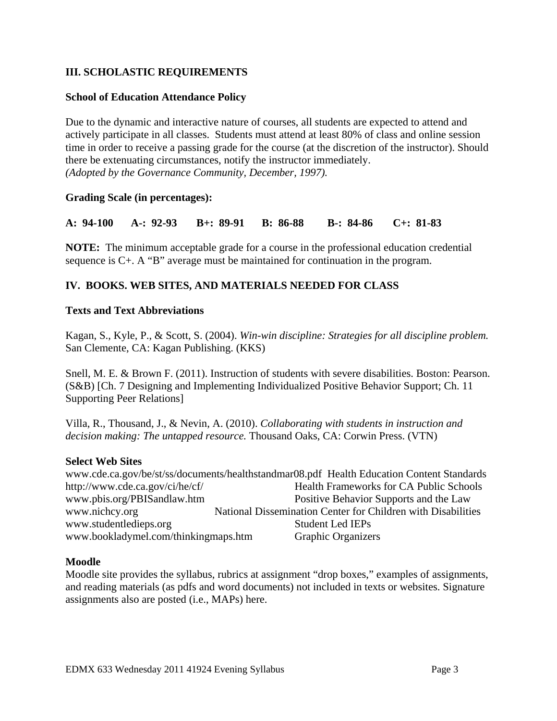## **III. SCHOLASTIC REQUIREMENTS**

## **School of Education Attendance Policy**

 *(Adopted by the Governance Community, December, 1997).* Due to the dynamic and interactive nature of courses, all students are expected to attend and actively participate in all classes. Students must attend at least 80% of class and online session time in order to receive a passing grade for the course (at the discretion of the instructor). Should there be extenuating circumstances, notify the instructor immediately.

## **Grading Scale (in percentages):**

**A: 94-100 A-: 92-93 B+: 89-91 B: 86-88 B-: 84-86 C+: 81-83** 

**NOTE:** The minimum acceptable grade for a course in the professional education credential sequence is C+. A "B" average must be maintained for continuation in the program.

## **IV. BOOKS. WEB SITES, AND MATERIALS NEEDED FOR CLASS**

#### **Texts and Text Abbreviations**

Kagan, S., Kyle, P., & Scott, S. (2004). *Win-win discipline: Strategies for all discipline problem.*  San Clemente, CA: Kagan Publishing. (KKS)

Snell, M. E. & Brown F. (2011). Instruction of students with severe disabilities. Boston: Pearson. (S&B) [Ch. 7 Designing and Implementing Individualized Positive Behavior Support; Ch. 11 Supporting Peer Relations]

Villa, R., Thousand, J., & Nevin, A. (2010). *Collaborating with students in instruction and decision making: The untapped resource.* Thousand Oaks, CA: Corwin Press. (VTN)

#### **Select Web Sites**

www.pbis.org/PBISandlaw.htm www.cde.ca.gov/be/st/ss/documents/healthstandmar08.pdf Health Education Content Standards http://www.cde.ca.gov/ci/he/cf/ Health Frameworks for CA Public Schools Positive Behavior Supports and the Law. www.nichcy.org National Dissemination Center for Children with Disabilities www.studentledieps.org Student Led IEPs www.bookladymel.com/thinkingmaps.htm Graphic Organizers

#### **Moodle**

Moodle site provides the syllabus, rubrics at assignment "drop boxes," examples of assignments, and reading materials (as pdfs and word documents) not included in texts or websites. Signature assignments also are posted (i.e., MAPs) here.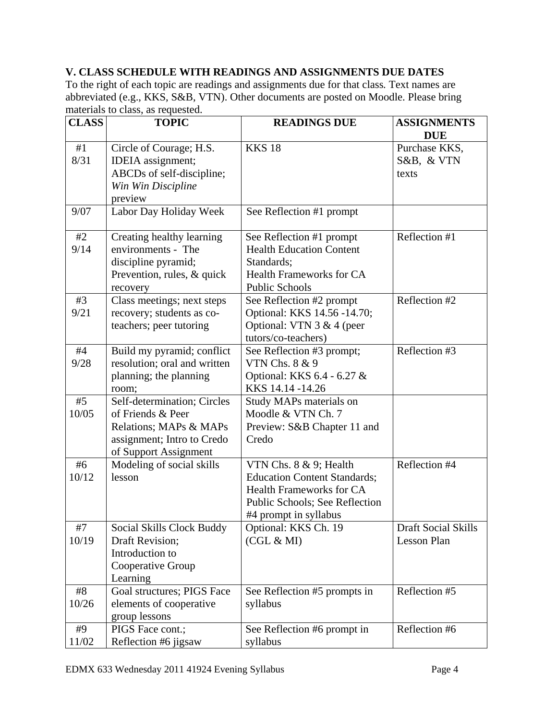# **V. CLASS SCHEDULE WITH READINGS AND ASSIGNMENTS DUE DATES**

materials to class, as requested. To the right of each topic are readings and assignments due for that class*.* Text names are abbreviated (e.g., KKS, S&B, VTN). Other documents are posted on Moodle. Please bring

| <b>CLASS</b><br><b>TOPIC</b> |                                  | <b>READINGS DUE</b>                 | <b>ASSIGNMENTS</b><br><b>DUE</b> |  |
|------------------------------|----------------------------------|-------------------------------------|----------------------------------|--|
| #1                           | Circle of Courage; H.S.          | <b>KKS 18</b>                       | Purchase KKS,                    |  |
| 8/31                         | IDEIA assignment;                |                                     | S&B, & VTN                       |  |
|                              | ABCDs of self-discipline;        |                                     | texts                            |  |
|                              | Win Win Discipline               |                                     |                                  |  |
|                              | preview                          |                                     |                                  |  |
| 9/07                         | Labor Day Holiday Week           | See Reflection #1 prompt            |                                  |  |
|                              |                                  |                                     |                                  |  |
| #2                           | Creating healthy learning        | See Reflection #1 prompt            | Reflection #1                    |  |
| 9/14                         | environments - The               | <b>Health Education Content</b>     |                                  |  |
|                              | discipline pyramid;              | Standards;                          |                                  |  |
|                              | Prevention, rules, & quick       | <b>Health Frameworks for CA</b>     |                                  |  |
|                              | recovery                         | <b>Public Schools</b>               |                                  |  |
| #3                           | Class meetings; next steps       | See Reflection #2 prompt            | Reflection #2                    |  |
| 9/21                         | recovery; students as co-        | Optional: KKS 14.56 -14.70;         |                                  |  |
|                              | teachers; peer tutoring          | Optional: VTN $3 & 4$ (peer         |                                  |  |
|                              |                                  | tutors/co-teachers)                 |                                  |  |
| #4                           | Build my pyramid; conflict       | See Reflection #3 prompt;           | Reflection #3                    |  |
| 9/28                         | resolution; oral and written     | VTN Chs. 8 & 9                      |                                  |  |
|                              | planning; the planning           | Optional: KKS 6.4 - 6.27 &          |                                  |  |
|                              | room;                            | KKS 14.14 - 14.26                   |                                  |  |
| #5                           | Self-determination; Circles      | Study MAPs materials on             |                                  |  |
| 10/05                        | of Friends & Peer                | Moodle & VTN Ch. 7                  |                                  |  |
|                              | Relations; MAPs & MAPs           | Preview: S&B Chapter 11 and         |                                  |  |
|                              | assignment; Intro to Credo       | Credo                               |                                  |  |
|                              | of Support Assignment            |                                     |                                  |  |
| #6                           | Modeling of social skills        | VTN Chs. 8 & 9; Health              | Reflection #4                    |  |
| 10/12                        | lesson                           | <b>Education Content Standards;</b> |                                  |  |
|                              |                                  | <b>Health Frameworks for CA</b>     |                                  |  |
|                              |                                  | Public Schools; See Reflection      |                                  |  |
|                              |                                  | #4 prompt in syllabus               |                                  |  |
| $\#7$                        | <b>Social Skills Clock Buddy</b> | Optional: KKS Ch. 19                | <b>Draft Social Skills</b>       |  |
| 10/19                        | Draft Revision;                  | (CGL & MI)                          | Lesson Plan                      |  |
|                              | Introduction to                  |                                     |                                  |  |
|                              | Cooperative Group                |                                     |                                  |  |
|                              | Learning                         |                                     |                                  |  |
| #8                           | Goal structures; PIGS Face       | See Reflection #5 prompts in        | Reflection #5                    |  |
| 10/26                        | elements of cooperative          | syllabus                            |                                  |  |
|                              | group lessons                    |                                     |                                  |  |
| #9                           | PIGS Face cont.;                 | See Reflection #6 prompt in         | Reflection #6                    |  |
| 11/02                        | Reflection #6 jigsaw             | syllabus                            |                                  |  |
|                              |                                  |                                     |                                  |  |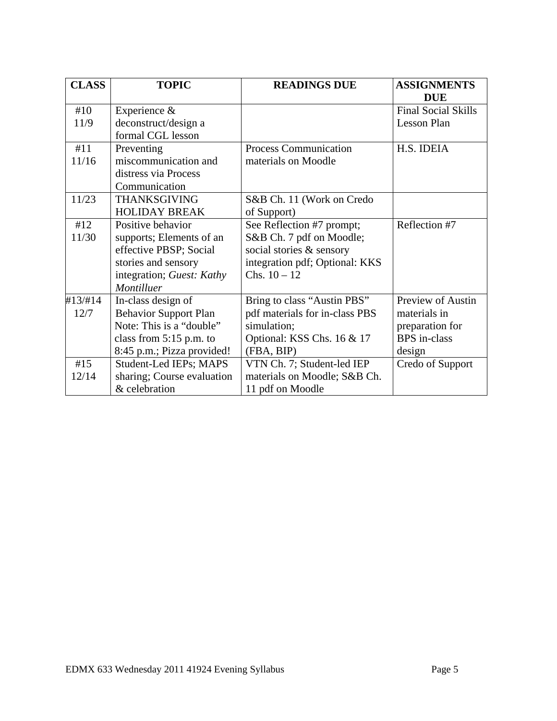| <b>CLASS</b> | <b>TOPIC</b>                 | <b>READINGS DUE</b>            | <b>ASSIGNMENTS</b>         |
|--------------|------------------------------|--------------------------------|----------------------------|
|              |                              |                                | <b>DUE</b>                 |
| #10          | Experience &                 |                                | <b>Final Social Skills</b> |
| 11/9         | deconstruct/design a         |                                | Lesson Plan                |
|              | formal CGL lesson            |                                |                            |
| #11          | Preventing                   | Process Communication          | H.S. IDEIA                 |
| 11/16        | miscommunication and         | materials on Moodle            |                            |
|              | distress via Process         |                                |                            |
|              | Communication                |                                |                            |
| 11/23        | <b>THANKSGIVING</b>          | S&B Ch. 11 (Work on Credo      |                            |
|              | <b>HOLIDAY BREAK</b>         | of Support)                    |                            |
| #12          | Positive behavior            | See Reflection #7 prompt;      | Reflection #7              |
| 11/30        | supports; Elements of an     | S&B Ch. 7 pdf on Moodle;       |                            |
|              | effective PBSP; Social       | social stories & sensory       |                            |
|              | stories and sensory          | integration pdf; Optional: KKS |                            |
|              | integration; Guest: Kathy    | Chs. $10 - 12$                 |                            |
|              | Montilluer                   |                                |                            |
| #13/#14      | In-class design of           | Bring to class "Austin PBS"    | Preview of Austin          |
| 12/7         | <b>Behavior Support Plan</b> | pdf materials for in-class PBS | materials in               |
|              | Note: This is a "double"     | simulation;                    | preparation for            |
|              | class from $5:15$ p.m. to    | Optional: KSS Chs. 16 & 17     | <b>BPS</b> in-class        |
|              | 8:45 p.m.; Pizza provided!   | (FBA, BIP)                     | design                     |
| #15          | Student-Led IEPs; MAPS       | VTN Ch. 7; Student-led IEP     | Credo of Support           |
| 12/14        | sharing; Course evaluation   | materials on Moodle; S&B Ch.   |                            |
|              | & celebration                | 11 pdf on Moodle               |                            |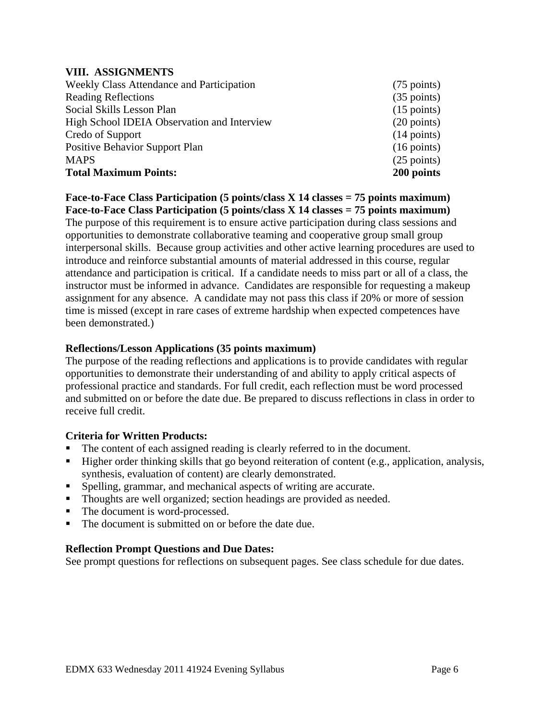#### **VIII. ASSIGNMENTS**

| Weekly Class Attendance and Participation   | $(75 \text{ points})$ |
|---------------------------------------------|-----------------------|
| <b>Reading Reflections</b>                  | $(35 \text{ points})$ |
| Social Skills Lesson Plan                   | $(15 \text{ points})$ |
| High School IDEIA Observation and Interview | $(20 \text{ points})$ |
| Credo of Support                            | $(14 \text{ points})$ |
| <b>Positive Behavior Support Plan</b>       | $(16 \text{ points})$ |
| <b>MAPS</b>                                 | $(25$ points)         |
| <b>Total Maximum Points:</b>                | 200 points            |

**Face-to-Face Class Participation (5 points/class X 14 classes = 75 points maximum) Face-to-Face Class Participation (5 points/class X 14 classes = 75 points maximum)** 

The purpose of this requirement is to ensure active participation during class sessions and opportunities to demonstrate collaborative teaming and cooperative group small group interpersonal skills. Because group activities and other active learning procedures are used to introduce and reinforce substantial amounts of material addressed in this course, regular attendance and participation is critical. If a candidate needs to miss part or all of a class, the instructor must be informed in advance. Candidates are responsible for requesting a makeup assignment for any absence. A candidate may not pass this class if 20% or more of session time is missed (except in rare cases of extreme hardship when expected competences have been demonstrated.)

#### **Reflections/Lesson Applications (35 points maximum)**

The purpose of the reading reflections and applications is to provide candidates with regular opportunities to demonstrate their understanding of and ability to apply critical aspects of professional practice and standards. For full credit, each reflection must be word processed and submitted on or before the date due. Be prepared to discuss reflections in class in order to receive full credit.

#### **Criteria for Written Products:**

- The content of each assigned reading is clearly referred to in the document.
- Higher order thinking skills that go beyond reiteration of content (e.g., application, analysis, synthesis, evaluation of content) are clearly demonstrated.
- Spelling, grammar, and mechanical aspects of writing are accurate.
- Thoughts are well organized; section headings are provided as needed.
- The document is word-processed.
- The document is submitted on or before the date due.

#### **Reflection Prompt Questions and Due Dates:**

See prompt questions for reflections on subsequent pages. See class schedule for due dates.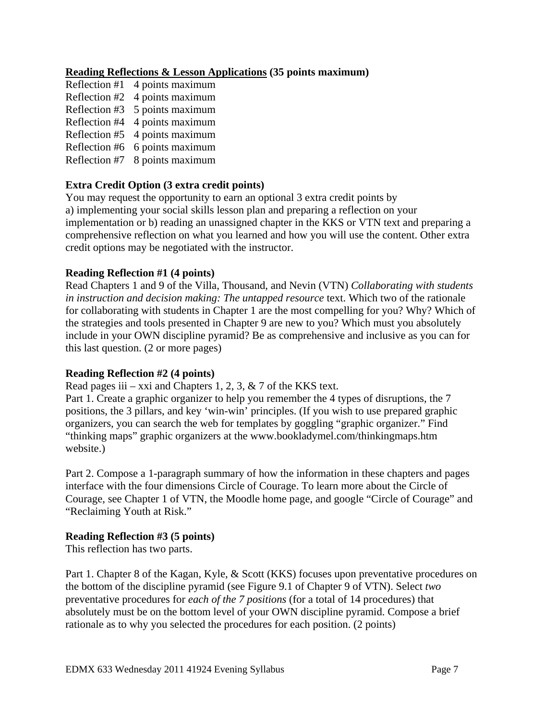## **Reading Reflections & Lesson Applications (35 points maximum)**

- Reflection #1 4 points maximum Reflection #2 4 points maximum Reflection #3 5 points maximum Reflection #4 4 points maximum Reflection #5 4 points maximum Reflection #6 6 points maximum
- Reflection #7 8 points maximum

## **Extra Credit Option (3 extra credit points)**

You may request the opportunity to earn an optional 3 extra credit points by a) implementing your social skills lesson plan and preparing a reflection on your implementation or b) reading an unassigned chapter in the KKS or VTN text and preparing a comprehensive reflection on what you learned and how you will use the content. Other extra credit options may be negotiated with the instructor.

## **Reading Reflection #1 (4 points)**

Read Chapters 1 and 9 of the Villa, Thousand, and Nevin (VTN) *Collaborating with students in instruction and decision making: The untapped resource* text. Which two of the rationale for collaborating with students in Chapter 1 are the most compelling for you? Why? Which of the strategies and tools presented in Chapter 9 are new to you? Which must you absolutely include in your OWN discipline pyramid? Be as comprehensive and inclusive as you can for this last question. (2 or more pages)

#### **Reading Reflection #2 (4 points)**

Read pages iii – xxi and Chapters 1, 2, 3,  $\&$  7 of the KKS text.

Part 1. Create a graphic organizer to help you remember the 4 types of disruptions, the 7 positions, the 3 pillars, and key 'win-win' principles. (If you wish to use prepared graphic organizers, you can search the web for templates by goggling "graphic organizer." Find "thinking maps" graphic organizers at the www.bookladymel.com/thinkingmaps.htm website.)

Part 2. Compose a 1-paragraph summary of how the information in these chapters and pages interface with the four dimensions Circle of Courage. To learn more about the Circle of Courage, see Chapter 1 of VTN, the Moodle home page, and google "Circle of Courage" and "Reclaiming Youth at Risk."

#### **Reading Reflection #3 (5 points)**

This reflection has two parts.

Part 1. Chapter 8 of the Kagan, Kyle, & Scott (KKS) focuses upon preventative procedures on the bottom of the discipline pyramid (see Figure 9.1 of Chapter 9 of VTN). Select *two*  preventative procedures for *each of the 7 positions* (for a total of 14 procedures) that absolutely must be on the bottom level of your OWN discipline pyramid. Compose a brief rationale as to why you selected the procedures for each position. (2 points)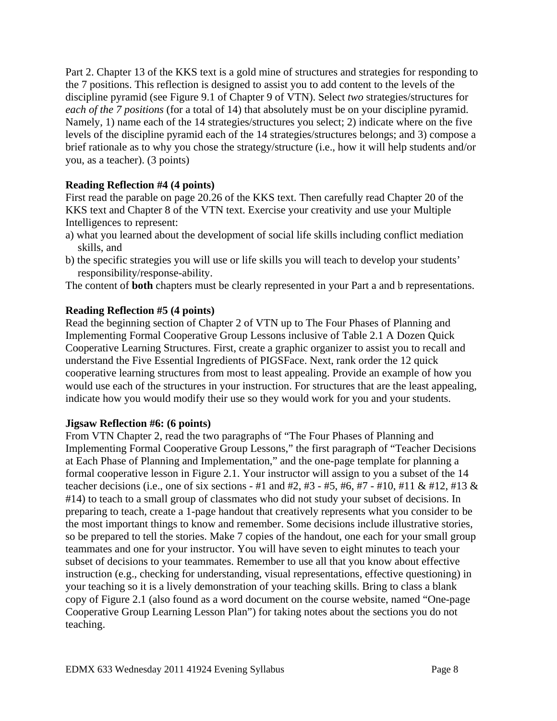Part 2. Chapter 13 of the KKS text is a gold mine of structures and strategies for responding to the 7 positions. This reflection is designed to assist you to add content to the levels of the discipline pyramid (see Figure 9.1 of Chapter 9 of VTN). Select *two* strategies/structures for *each of the 7 positions* (for a total of 14) that absolutely must be on your discipline pyramid. Namely, 1) name each of the 14 strategies/structures you select; 2) indicate where on the five levels of the discipline pyramid each of the 14 strategies/structures belongs; and 3) compose a brief rationale as to why you chose the strategy/structure (i.e., how it will help students and/or you, as a teacher). (3 points)

## **Reading Reflection #4 (4 points)**

First read the parable on page 20.26 of the KKS text. Then carefully read Chapter 20 of the KKS text and Chapter 8 of the VTN text. Exercise your creativity and use your Multiple Intelligences to represent:

- a) what you learned about the development of social life skills including conflict mediation skills, and
- b) the specific strategies you will use or life skills you will teach to develop your students' responsibility/response-ability.

The content of **both** chapters must be clearly represented in your Part a and b representations.

## **Reading Reflection #5 (4 points)**

Read the beginning section of Chapter 2 of VTN up to The Four Phases of Planning and Implementing Formal Cooperative Group Lessons inclusive of Table 2.1 A Dozen Quick Cooperative Learning Structures. First, create a graphic organizer to assist you to recall and understand the Five Essential Ingredients of PIGSFace. Next, rank order the 12 quick cooperative learning structures from most to least appealing. Provide an example of how you would use each of the structures in your instruction. For structures that are the least appealing, indicate how you would modify their use so they would work for you and your students.

## **Jigsaw Reflection #6: (6 points)**

From VTN Chapter 2, read the two paragraphs of "The Four Phases of Planning and Implementing Formal Cooperative Group Lessons," the first paragraph of "Teacher Decisions at Each Phase of Planning and Implementation," and the one-page template for planning a formal cooperative lesson in Figure 2.1. Your instructor will assign to you a subset of the 14 teacher decisions (i.e., one of six sections - #1 and #2, #3 - #5, #6, #7 - #10, #11 & #12, #13 & #14) to teach to a small group of classmates who did not study your subset of decisions. In preparing to teach, create a 1-page handout that creatively represents what you consider to be the most important things to know and remember. Some decisions include illustrative stories, so be prepared to tell the stories. Make 7 copies of the handout, one each for your small group teammates and one for your instructor. You will have seven to eight minutes to teach your subset of decisions to your teammates. Remember to use all that you know about effective instruction (e.g., checking for understanding, visual representations, effective questioning) in your teaching so it is a lively demonstration of your teaching skills. Bring to class a blank copy of Figure 2.1 (also found as a word document on the course website, named "One-page Cooperative Group Learning Lesson Plan") for taking notes about the sections you do not teaching.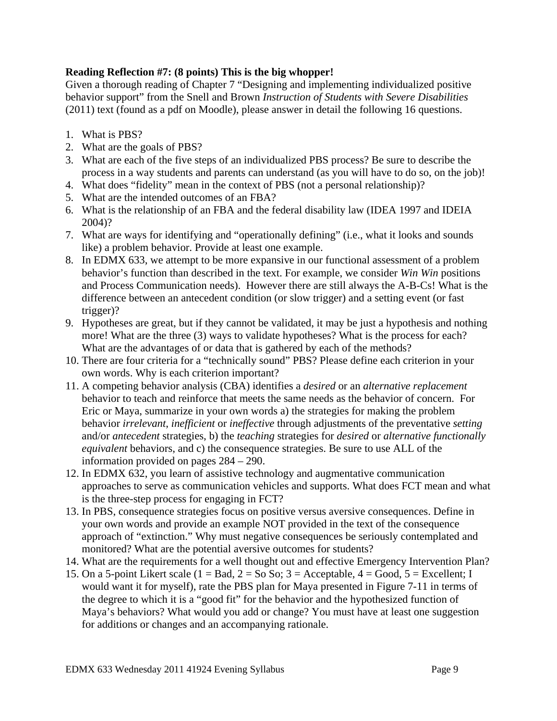## **Reading Reflection #7: (8 points) This is the big whopper!**

Given a thorough reading of Chapter 7 "Designing and implementing individualized positive behavior support" from the Snell and Brown *Instruction of Students with Severe Disabilities*  (2011) text (found as a pdf on Moodle), please answer in detail the following 16 questions.

- 1. What is PBS?
- 2. What are the goals of PBS?
- 3. What are each of the five steps of an individualized PBS process? Be sure to describe the process in a way students and parents can understand (as you will have to do so, on the job)!
- 4. What does "fidelity" mean in the context of PBS (not a personal relationship)?
- 5. What are the intended outcomes of an FBA?
- 6. What is the relationship of an FBA and the federal disability law (IDEA 1997 and IDEIA 2004)?
- 7. What are ways for identifying and "operationally defining" (i.e., what it looks and sounds like) a problem behavior. Provide at least one example.
- 8. In EDMX 633, we attempt to be more expansive in our functional assessment of a problem behavior's function than described in the text. For example, we consider *Win Win* positions and Process Communication needs). However there are still always the A-B-Cs! What is the difference between an antecedent condition (or slow trigger) and a setting event (or fast trigger)?
- 9. Hypotheses are great, but if they cannot be validated, it may be just a hypothesis and nothing more! What are the three (3) ways to validate hypotheses? What is the process for each? What are the advantages of or data that is gathered by each of the methods?
- 10. There are four criteria for a "technically sound" PBS? Please define each criterion in your own words. Why is each criterion important?
- 11. A competing behavior analysis (CBA) identifies a *desired* or an *alternative replacement*  behavior to teach and reinforce that meets the same needs as the behavior of concern. For Eric or Maya, summarize in your own words a) the strategies for making the problem behavior *irrelevant*, *inefficient* or *ineffective* through adjustments of the preventative *setting*  and/or *antecedent* strategies, b) the *teaching* strategies for *desired* or *alternative functionally equivalent* behaviors, and c) the consequence strategies. Be sure to use ALL of the information provided on pages 284 – 290.
- 12. In EDMX 632, you learn of assistive technology and augmentative communication approaches to serve as communication vehicles and supports. What does FCT mean and what is the three-step process for engaging in FCT?
- 13. In PBS, consequence strategies focus on positive versus aversive consequences. Define in your own words and provide an example NOT provided in the text of the consequence approach of "extinction." Why must negative consequences be seriously contemplated and monitored? What are the potential aversive outcomes for students?
- 14. What are the requirements for a well thought out and effective Emergency Intervention Plan?
- 15. On a 5-point Likert scale ( $1 = Bad$ ,  $2 = So So$ ;  $3 = Acceptable$ ,  $4 = Good$ ,  $5 = Excellen$ ; I would want it for myself), rate the PBS plan for Maya presented in Figure 7-11 in terms of the degree to which it is a "good fit" for the behavior and the hypothesized function of Maya's behaviors? What would you add or change? You must have at least one suggestion for additions or changes and an accompanying rationale.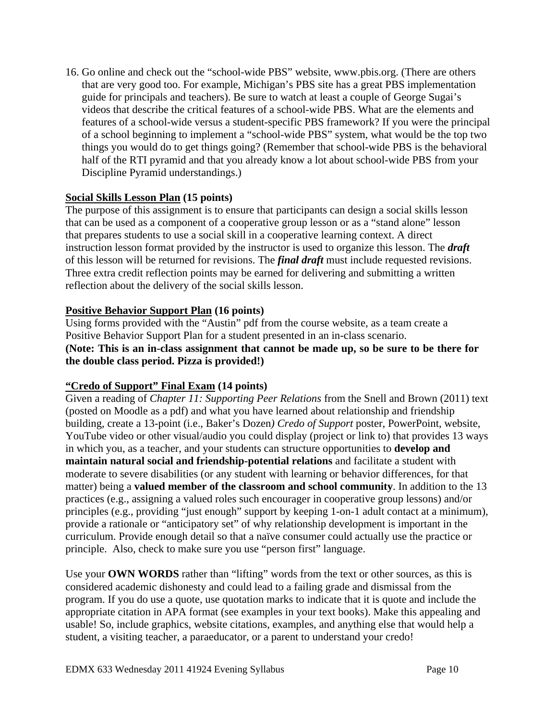16. Go online and check out the "school-wide PBS" website, www.pbis.org. (There are others that are very good too. For example, Michigan's PBS site has a great PBS implementation guide for principals and teachers). Be sure to watch at least a couple of George Sugai's videos that describe the critical features of a school-wide PBS. What are the elements and features of a school-wide versus a student-specific PBS framework? If you were the principal of a school beginning to implement a "school-wide PBS" system, what would be the top two things you would do to get things going? (Remember that school-wide PBS is the behavioral half of the RTI pyramid and that you already know a lot about school-wide PBS from your Discipline Pyramid understandings.)

## **Social Skills Lesson Plan (15 points)**

The purpose of this assignment is to ensure that participants can design a social skills lesson that can be used as a component of a cooperative group lesson or as a "stand alone" lesson that prepares students to use a social skill in a cooperative learning context. A direct instruction lesson format provided by the instructor is used to organize this lesson. The *draft*  of this lesson will be returned for revisions. The *final draft* must include requested revisions. Three extra credit reflection points may be earned for delivering and submitting a written reflection about the delivery of the social skills lesson.

# **Positive Behavior Support Plan (16 points)**

Using forms provided with the "Austin" pdf from the course website, as a team create a Positive Behavior Support Plan for a student presented in an in-class scenario. **(Note: This is an in-class assignment that cannot be made up, so be sure to be there for the double class period. Pizza is provided!)** 

## **"Credo of Support" Final Exam (14 points)**

Given a reading of *Chapter 11: Supporting Peer Relations* from the Snell and Brown (2011) text (posted on Moodle as a pdf) and what you have learned about relationship and friendship building, create a 13-point (i.e., Baker's Dozen*) Credo of Support* poster, PowerPoint, website, YouTube video or other visual/audio you could display (project or link to) that provides 13 ways in which you, as a teacher, and your students can structure opportunities to **develop and maintain natural social and friendship-potential relations** and facilitate a student with moderate to severe disabilities (or any student with learning or behavior differences, for that matter) being a **valued member of the classroom and school community**. In addition to the 13 practices (e.g., assigning a valued roles such encourager in cooperative group lessons) and/or principles (e.g., providing "just enough" support by keeping 1-on-1 adult contact at a minimum), provide a rationale or "anticipatory set" of why relationship development is important in the curriculum. Provide enough detail so that a naïve consumer could actually use the practice or principle. Also, check to make sure you use "person first" language.

Use your **OWN WORDS** rather than "lifting" words from the text or other sources, as this is considered academic dishonesty and could lead to a failing grade and dismissal from the program. If you do use a quote, use quotation marks to indicate that it is quote and include the appropriate citation in APA format (see examples in your text books). Make this appealing and usable! So, include graphics, website citations, examples, and anything else that would help a student, a visiting teacher, a paraeducator, or a parent to understand your credo!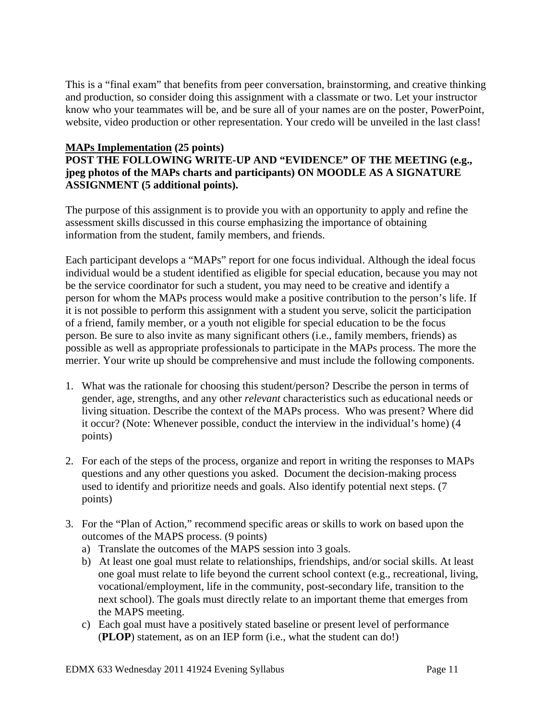This is a "final exam" that benefits from peer conversation, brainstorming, and creative thinking and production, so consider doing this assignment with a classmate or two. Let your instructor know who your teammates will be, and be sure all of your names are on the poster, PowerPoint, website, video production or other representation. Your credo will be unveiled in the last class!

## **MAPs Implementation (25 points)**

## **POST THE FOLLOWING WRITE-UP AND "EVIDENCE" OF THE MEETING (e.g., jpeg photos of the MAPs charts and participants) ON MOODLE AS A SIGNATURE ASSIGNMENT (5 additional points).**

The purpose of this assignment is to provide you with an opportunity to apply and refine the assessment skills discussed in this course emphasizing the importance of obtaining information from the student, family members, and friends.

Each participant develops a "MAPs" report for one focus individual. Although the ideal focus individual would be a student identified as eligible for special education, because you may not be the service coordinator for such a student, you may need to be creative and identify a person for whom the MAPs process would make a positive contribution to the person's life. If it is not possible to perform this assignment with a student you serve, solicit the participation of a friend, family member, or a youth not eligible for special education to be the focus person. Be sure to also invite as many significant others (i.e., family members, friends) as possible as well as appropriate professionals to participate in the MAPs process. The more the merrier. Your write up should be comprehensive and must include the following components.

- 1. What was the rationale for choosing this student/person? Describe the person in terms of gender, age, strengths, and any other *relevant* characteristics such as educational needs or living situation. Describe the context of the MAPs process. Who was present? Where did it occur? (Note: Whenever possible, conduct the interview in the individual's home) (4 points)
- 2. For each of the steps of the process, organize and report in writing the responses to MAPs questions and any other questions you asked. Document the decision-making process used to identify and prioritize needs and goals. Also identify potential next steps. (7 points)
- 3. For the "Plan of Action," recommend specific areas or skills to work on based upon the outcomes of the MAPS process. (9 points)
	- a) Translate the outcomes of the MAPS session into 3 goals.
	- b) At least one goal must relate to relationships, friendships, and/or social skills. At least one goal must relate to life beyond the current school context (e.g., recreational, living, vocational/employment, life in the community, post-secondary life, transition to the next school). The goals must directly relate to an important theme that emerges from the MAPS meeting.
	- c) Each goal must have a positively stated baseline or present level of performance (**PLOP**) statement, as on an IEP form (i.e., what the student can do!)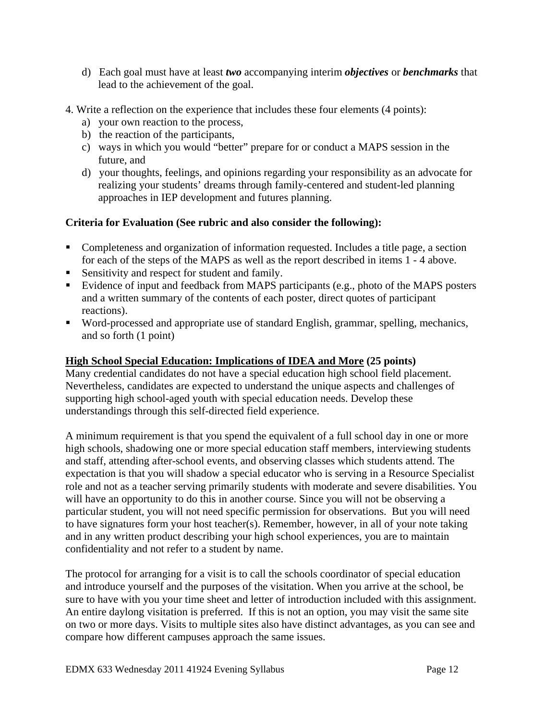- d) Each goal must have at least *two* accompanying interim *objectives* or *benchmarks* that lead to the achievement of the goal.
- 4. Write a reflection on the experience that includes these four elements (4 points):
	- a) your own reaction to the process,
	- b) the reaction of the participants,
	- c) ways in which you would "better" prepare for or conduct a MAPS session in the future, and
	- d) your thoughts, feelings, and opinions regarding your responsibility as an advocate for realizing your students' dreams through family-centered and student-led planning approaches in IEP development and futures planning.

## **Criteria for Evaluation (See rubric and also consider the following):**

- Completeness and organization of information requested. Includes a title page, a section for each of the steps of the MAPS as well as the report described in items 1 - 4 above.
- Sensitivity and respect for student and family.
- Evidence of input and feedback from MAPS participants (e.g., photo of the MAPS posters and a written summary of the contents of each poster, direct quotes of participant reactions).
- Word-processed and appropriate use of standard English, grammar, spelling, mechanics, and so forth (1 point)

## **High School Special Education: Implications of IDEA and More (25 points)**

Many credential candidates do not have a special education high school field placement. Nevertheless, candidates are expected to understand the unique aspects and challenges of supporting high school-aged youth with special education needs. Develop these understandings through this self-directed field experience.

A minimum requirement is that you spend the equivalent of a full school day in one or more high schools, shadowing one or more special education staff members, interviewing students and staff, attending after-school events, and observing classes which students attend. The expectation is that you will shadow a special educator who is serving in a Resource Specialist role and not as a teacher serving primarily students with moderate and severe disabilities. You will have an opportunity to do this in another course. Since you will not be observing a particular student, you will not need specific permission for observations. But you will need to have signatures form your host teacher(s). Remember, however, in all of your note taking and in any written product describing your high school experiences, you are to maintain confidentiality and not refer to a student by name.

The protocol for arranging for a visit is to call the schools coordinator of special education and introduce yourself and the purposes of the visitation. When you arrive at the school, be sure to have with you your time sheet and letter of introduction included with this assignment. An entire daylong visitation is preferred. If this is not an option, you may visit the same site on two or more days. Visits to multiple sites also have distinct advantages, as you can see and compare how different campuses approach the same issues.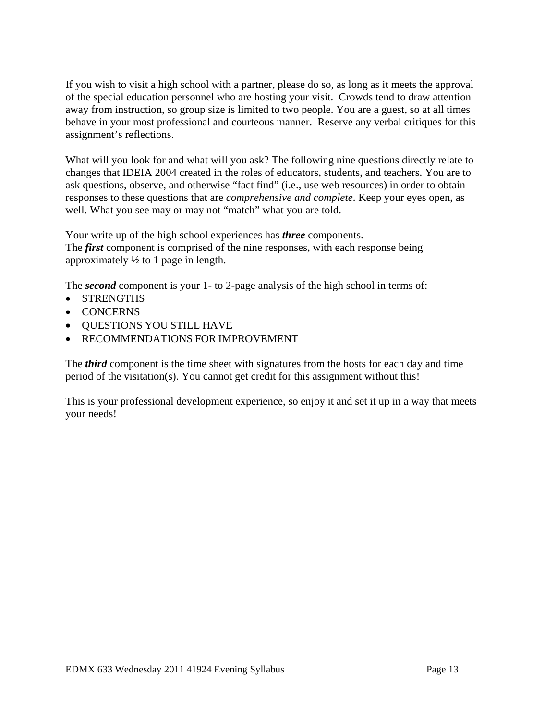If you wish to visit a high school with a partner, please do so, as long as it meets the approval of the special education personnel who are hosting your visit. Crowds tend to draw attention away from instruction, so group size is limited to two people. You are a guest, so at all times behave in your most professional and courteous manner. Reserve any verbal critiques for this assignment's reflections.

What will you look for and what will you ask? The following nine questions directly relate to changes that IDEIA 2004 created in the roles of educators, students, and teachers. You are to ask questions, observe, and otherwise "fact find" (i.e., use web resources) in order to obtain responses to these questions that are *comprehensive and complete*. Keep your eyes open, as well. What you see may or may not "match" what you are told.

Your write up of the high school experiences has *three* components. The *first* component is comprised of the nine responses, with each response being approximately  $\frac{1}{2}$  to 1 page in length.

The *second* component is your 1- to 2-page analysis of the high school in terms of:

- STRENGTHS
- CONCERNS
- QUESTIONS YOU STILL HAVE
- RECOMMENDATIONS FOR IMPROVEMENT

The *third* component is the time sheet with signatures from the hosts for each day and time period of the visitation(s). You cannot get credit for this assignment without this!

This is your professional development experience, so enjoy it and set it up in a way that meets your needs!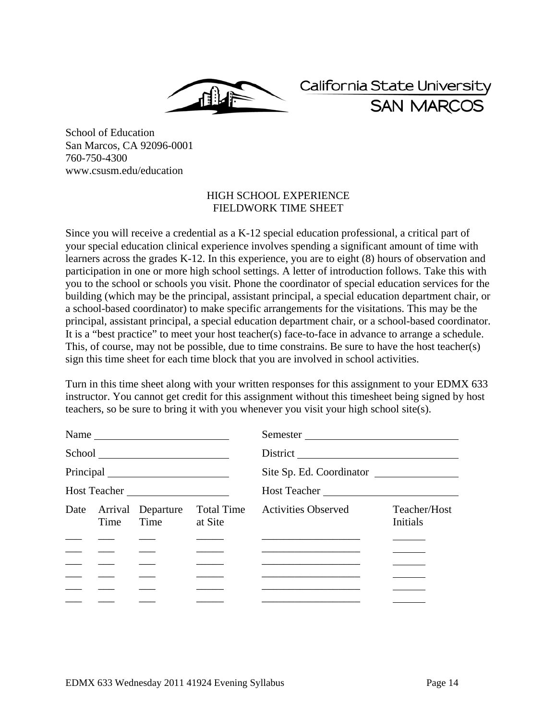California State University **SAN MARCOS** 

School of Education San Marcos, CA 92096-0001 760-750-4300 www.csusm.edu/education

## HIGH SCHOOL EXPERIENCE FIELDWORK TIME SHEET

Since you will receive a credential as a K-12 special education professional, a critical part of your special education clinical experience involves spending a significant amount of time with learners across the grades K-12. In this experience, you are to eight (8) hours of observation and participation in one or more high school settings. A letter of introduction follows. Take this with you to the school or schools you visit. Phone the coordinator of special education services for the building (which may be the principal, assistant principal, a special education department chair, or a school-based coordinator) to make specific arrangements for the visitations. This may be the principal, assistant principal, a special education department chair, or a school-based coordinator. It is a "best practice" to meet your host teacher(s) face-to-face in advance to arrange a schedule. This, of course, may not be possible, due to time constrains. Be sure to have the host teacher(s) sign this time sheet for each time block that you are involved in school activities.

Turn in this time sheet along with your written responses for this assignment to your EDMX 633 instructor. You cannot get credit for this assignment without this timesheet being signed by host teachers, so be sure to bring it with you whenever you visit your high school site(s).

| Name $\frac{1}{\sqrt{1-\frac{1}{2}}\left\vert \frac{1}{2}\right\vert +1}$                                                                                                                                                                                                                                                                                                                                                                                                               |               |                                        |            | Semester                                                                                                               |                                 |  |
|-----------------------------------------------------------------------------------------------------------------------------------------------------------------------------------------------------------------------------------------------------------------------------------------------------------------------------------------------------------------------------------------------------------------------------------------------------------------------------------------|---------------|----------------------------------------|------------|------------------------------------------------------------------------------------------------------------------------|---------------------------------|--|
|                                                                                                                                                                                                                                                                                                                                                                                                                                                                                         |               |                                        |            |                                                                                                                        |                                 |  |
|                                                                                                                                                                                                                                                                                                                                                                                                                                                                                         |               |                                        |            | Site Sp. Ed. Coordinator                                                                                               |                                 |  |
| Host Teacher                                                                                                                                                                                                                                                                                                                                                                                                                                                                            |               | Host Teacher                           |            |                                                                                                                        |                                 |  |
|                                                                                                                                                                                                                                                                                                                                                                                                                                                                                         | Time          | Date Arrival Departure<br>Time at Site | Total Time | <b>Activities Observed</b>                                                                                             | Teacher/Host<br><b>Initials</b> |  |
|                                                                                                                                                                                                                                                                                                                                                                                                                                                                                         |               |                                        |            |                                                                                                                        |                                 |  |
| $\begin{tabular}{ll} \multicolumn{1}{l}{} & \multicolumn{1}{l}{} & \multicolumn{1}{l}{} & \multicolumn{1}{l}{} \\ \multicolumn{1}{l}{} & \multicolumn{1}{l}{} & \multicolumn{1}{l}{} & \multicolumn{1}{l}{} \\ \multicolumn{1}{l}{} & \multicolumn{1}{l}{} & \multicolumn{1}{l}{} & \multicolumn{1}{l}{} \\ \multicolumn{1}{l}{} & \multicolumn{1}{l}{} & \multicolumn{1}{l}{} \\ \multicolumn{1}{l}{} & \multicolumn{1}{l}{} & \multicolumn{1}{l}{} \\ \multicolumn{1}{l}{} & \multic$ |               |                                        |            |                                                                                                                        |                                 |  |
| $\frac{1}{2}$ and $\frac{1}{2}$ and $\frac{1}{2}$                                                                                                                                                                                                                                                                                                                                                                                                                                       |               |                                        |            | <u> 1989 - Johann John Stone, mars et al. 1989 - John Stone, mars et al. 1989 - John Stone, mars et al. 1989 - Joh</u> |                                 |  |
|                                                                                                                                                                                                                                                                                                                                                                                                                                                                                         |               |                                        |            |                                                                                                                        |                                 |  |
|                                                                                                                                                                                                                                                                                                                                                                                                                                                                                         | $\frac{1}{1}$ |                                        |            |                                                                                                                        |                                 |  |
|                                                                                                                                                                                                                                                                                                                                                                                                                                                                                         |               |                                        |            |                                                                                                                        |                                 |  |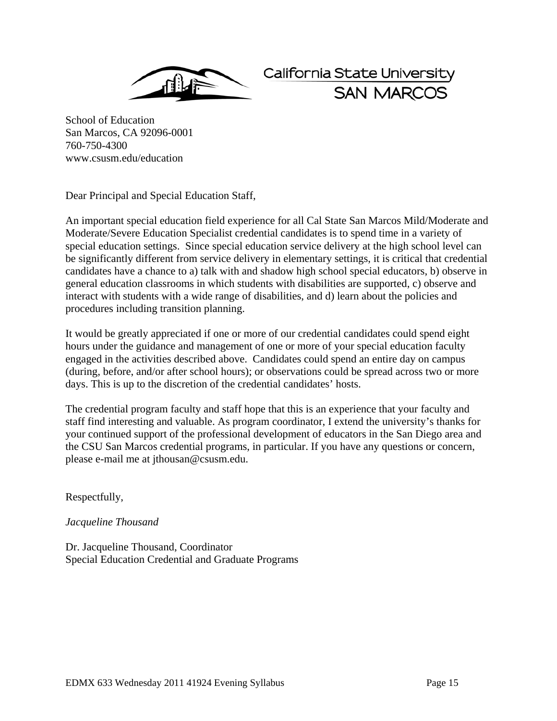

California State University **SAN MARCO** 

School of Education San Marcos, CA 92096-0001 760-750-4300 www.csusm.edu/education

Dear Principal and Special Education Staff,

An important special education field experience for all Cal State San Marcos Mild/Moderate and Moderate/Severe Education Specialist credential candidates is to spend time in a variety of special education settings. Since special education service delivery at the high school level can be significantly different from service delivery in elementary settings, it is critical that credential candidates have a chance to a) talk with and shadow high school special educators, b) observe in general education classrooms in which students with disabilities are supported, c) observe and interact with students with a wide range of disabilities, and d) learn about the policies and procedures including transition planning.

It would be greatly appreciated if one or more of our credential candidates could spend eight hours under the guidance and management of one or more of your special education faculty engaged in the activities described above. Candidates could spend an entire day on campus (during, before, and/or after school hours); or observations could be spread across two or more days. This is up to the discretion of the credential candidates' hosts.

The credential program faculty and staff hope that this is an experience that your faculty and staff find interesting and valuable. As program coordinator, I extend the university's thanks for your continued support of the professional development of educators in the San Diego area and the CSU San Marcos credential programs, in particular. If you have any questions or concern, please e-mail me at jthousan@csusm.edu.

Respectfully,

## *Jacqueline Thousand*

Dr. Jacqueline Thousand, Coordinator Special Education Credential and Graduate Programs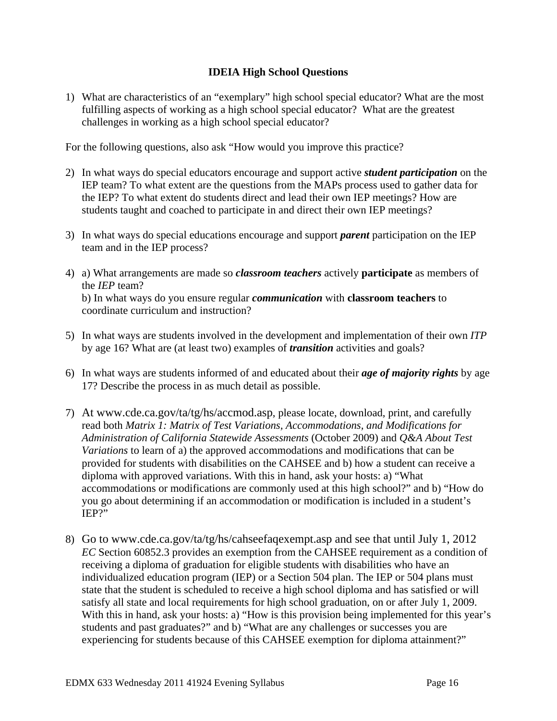## **IDEIA High School Questions**

challenges in working as a high school special educator? 1) What are characteristics of an "exemplary" high school special educator? What are the most fulfilling aspects of working as a high school special educator? What are the greatest

For the following questions, also ask "How would you improve this practice?

- 2) In what ways do special educators encourage and support active *student participation* on the IEP team? To what extent are the questions from the MAPs process used to gather data for the IEP? To what extent do students direct and lead their own IEP meetings? How are students taught and coached to participate in and direct their own IEP meetings?
- team and in the IEP process? 3) In what ways do special educations encourage and support *parent* participation on the IEP
- team and in the IEP process? 4) a) What arrangements are made so *classroom teachers* actively **participate** as members of the *IEP* team? b) In what ways do you ensure regular *communication* with **classroom teachers** to coordinate curriculum and instruction?
- 5) In what ways are students involved in the development and implementation of their own *ITP*  by age 16? What are (at least two) examples of *transition* activities and goals?
- 6) In what ways are students informed of and educated about their *age of majority rights* by age 17? Describe the process in as much detail as possible.
- 7) At www.cde.ca.gov/ta/tg/hs/accmod.asp, please locate, download, print, and carefully read both *Matrix 1: Matrix of Test Variations, Accommodations, and Modifications for Administration of California Statewide Assessments* (October 2009) and *Q&A About Test Variations* to learn of a) the approved accommodations and modifications that can be provided for students with disabilities on the CAHSEE and b) how a student can receive a diploma with approved variations. With this in hand, ask your hosts: a) "What accommodations or modifications are commonly used at this high school?" and b) "How do you go about determining if an accommodation or modification is included in a student's IEP?"
- 8) Go to www.cde.ca.gov/ta/tg/hs/cahseefaqexempt.asp and see that until July 1, 2012 *EC* Section 60852.3 provides an exemption from the CAHSEE requirement as a condition of receiving a diploma of graduation for eligible students with disabilities who have an individualized education program (IEP) or a Section 504 plan. The IEP or 504 plans must state that the student is scheduled to receive a high school diploma and has satisfied or will satisfy all state and local requirements for high school graduation, on or after July 1, 2009. With this in hand, ask your hosts: a) "How is this provision being implemented for this year's students and past graduates?" and b) "What are any challenges or successes you are experiencing for students because of this CAHSEE exemption for diploma attainment?"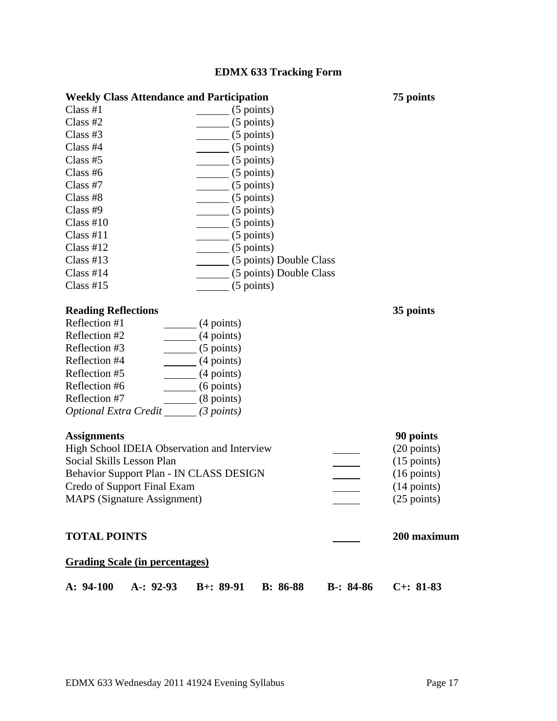# **EDMX 633 Tracking Form**

| <b>Weekly Class Attendance and Participation</b> |                         |  |  |  |
|--------------------------------------------------|-------------------------|--|--|--|
| Class H1                                         | $(5$ points)            |  |  |  |
| Class $#2$                                       | $(5$ points)            |  |  |  |
| Class $#3$                                       | $(5$ points)            |  |  |  |
| Class $#4$                                       | $(5$ points)            |  |  |  |
| Class $#5$                                       | $(5$ points)            |  |  |  |
| Class $#6$                                       | $(5$ points)            |  |  |  |
| Class $#7$                                       | $(5$ points)            |  |  |  |
| Class #8                                         | $(5$ points)            |  |  |  |
| Class#9                                          | $(5$ points)            |  |  |  |
| Class $#10$                                      | $(5$ points)            |  |  |  |
| Class #11                                        | $(5$ points)            |  |  |  |
| Class H12                                        | $(5$ points)            |  |  |  |
| Class $#13$                                      | (5 points) Double Class |  |  |  |
| Class $#14$                                      | (5 points) Double Class |  |  |  |
| Class $#15$                                      | $(5$ points)            |  |  |  |

## **Reading Reflections**

| Reflection #1                | $(4$ points) |
|------------------------------|--------------|
| Reflection #2                | $(4$ points) |
| Reflection #3                | $(5$ points) |
| Reflection #4                | $(4$ points) |
| Reflection #5                | $(4$ points) |
| Reflection #6                | $(6$ points) |
| Reflection #7                | $(8$ points) |
| <b>Optional Extra Credit</b> | (3 points)   |

## **Assignments**

| <b>Assignments</b>                          | 90 points             |
|---------------------------------------------|-----------------------|
| High School IDEIA Observation and Interview | $(20 \text{ points})$ |
| Social Skills Lesson Plan                   | $(15 \text{ points})$ |
| Behavior Support Plan - IN CLASS DESIGN     | $(16 \text{ points})$ |
| Credo of Support Final Exam                 | $(14 \text{ points})$ |
| <b>MAPS</b> (Signature Assignment)          | $(25 \text{ points})$ |

## **TOTAL POINTS** 200 maximum 200 maximum

**75 points** 

 **35 points** 

## **Grading Scale (in percentages)**

|  |  | A: 94-100 A: 92-93 B+: 89-91 B: 86-88 B-: 84-86 C+: 81-83 |  |
|--|--|-----------------------------------------------------------|--|
|  |  |                                                           |  |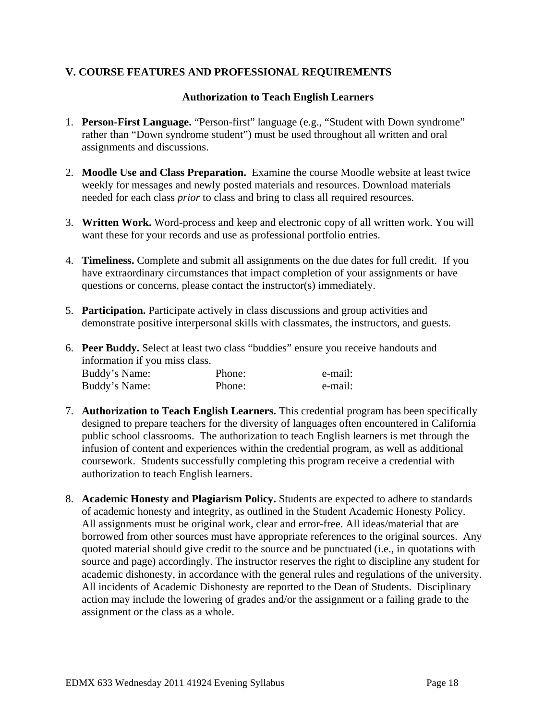## **V. COURSE FEATURES AND PROFESSIONAL REQUIREMENTS**

## **Authorization to Teach English Learners**

- 1. **Person-First Language.** "Person-first" language (e.g., "Student with Down syndrome" rather than "Down syndrome student") must be used throughout all written and oral assignments and discussions.
- 2. **Moodle Use and Class Preparation.** Examine the course Moodle website at least twice weekly for messages and newly posted materials and resources. Download materials needed for each class *prior* to class and bring to class all required resources.
- 3. **Written Work.** Word-process and keep and electronic copy of all written work. You will want these for your records and use as professional portfolio entries.
- 4. **Timeliness.** Complete and submit all assignments on the due dates for full credit. If you have extraordinary circumstances that impact completion of your assignments or have questions or concerns, please contact the instructor(s) immediately.
- 5. **Participation.** Participate actively in class discussions and group activities and demonstrate positive interpersonal skills with classmates, the instructors, and guests.
- Buddy's Name: Phone: e-mail: 6. **Peer Buddy.** Select at least two class "buddies" ensure you receive handouts and information if you miss class. Buddy's Name: Phone: e-mail:
- 7. **Authorization to Teach English Learners.** This credential program has been specifically designed to prepare teachers for the diversity of languages often encountered in California public school classrooms. The authorization to teach English learners is met through the infusion of content and experiences within the credential program, as well as additional coursework. Students successfully completing this program receive a credential with authorization to teach English learners.
- 8. **Academic Honesty and Plagiarism Policy.** Students are expected to adhere to standards of academic honesty and integrity, as outlined in the Student Academic Honesty Policy. All assignments must be original work, clear and error-free. All ideas/material that are borrowed from other sources must have appropriate references to the original sources. Any quoted material should give credit to the source and be punctuated (i.e., in quotations with source and page) accordingly. The instructor reserves the right to discipline any student for academic dishonesty, in accordance with the general rules and regulations of the university. All incidents of Academic Dishonesty are reported to the Dean of Students. Disciplinary action may include the lowering of grades and/or the assignment or a failing grade to the assignment or the class as a whole.